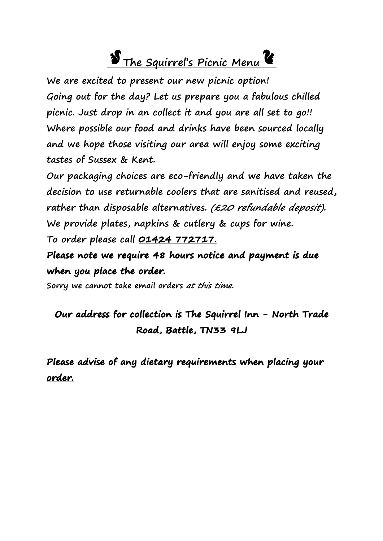# **S** The Squirrel's Picnic Menu **C**

**We are excited to present our new picnic option! Going out for the day? Let us prepare you a fabulous chilled picnic. Just drop in an collect it and you are all set to go!! Where possible our food and drinks have been sourced locally and we hope those visiting our area will enjoy some exciting tastes of Sussex & Kent.**

**Our packaging choices are eco-friendly and we have taken the decision to use returnable coolers that are sanitised and reused,**  rather than disposable alternatives. (£20 refundable deposit). **We provide plates, napkins & cutlery & cups for wine.**

**To order please call 01424 772717.** 

**Please note we require 48 hours notice and payment is due when you place the order.** 

**Sorry we cannot take email orders at this time.** 

# **Our address for collection is The Squirrel Inn - North Trade Road, Battle, TN33 9LJ**

**Please advise of any dietary requirements when placing your order.**